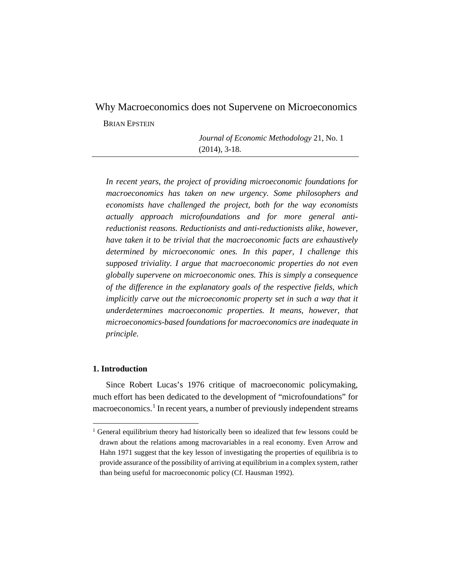# Why Macroeconomics does not Supervene on Microeconomics

**BRIAN EPSTEIN** 

*Journal of Economic Methodology* 21, No. 1 (2014), 3-18.

*In recent years, the project of providing microeconomic foundations for macroeconomics has taken on new urgency. Some philosophers and economists have challenged the project, both for the way economists actually approach microfoundations and for more general antireductionist reasons. Reductionists and anti-reductionists alike, however, have taken it to be trivial that the macroeconomic facts are exhaustively determined by microeconomic ones. In this paper, I challenge this supposed triviality. I argue that macroeconomic properties do not even globally supervene on microeconomic ones. This is simply a consequence of the difference in the explanatory goals of the respective fields, which implicitly carve out the microeconomic property set in such a way that it underdetermines macroeconomic properties. It means, however, that microeconomics-based foundations for macroeconomics are inadequate in principle.*

## **1. Introduction**

 $\overline{a}$ 

Since Robert Lucas's 1976 critique of macroeconomic policymaking, much effort has been dedicated to the development of "microfoundations" for macroeconomics.<sup>[1](#page-0-0)</sup> In recent years, a number of previously independent streams

<span id="page-0-0"></span><sup>1</sup> General equilibrium theory had historically been so idealized that few lessons could be drawn about the relations among macrovariables in a real economy. Even Arrow and Hahn 1971 suggest that the key lesson of investigating the properties of equilibria is to provide assurance of the possibility of arriving at equilibrium in a complex system, rather than being useful for macroeconomic policy (Cf. Hausman 1992).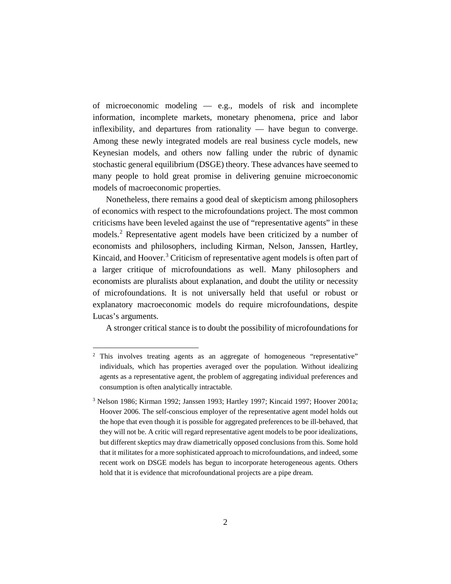of microeconomic modeling — e.g., models of risk and incomplete information, incomplete markets, monetary phenomena, price and labor inflexibility, and departures from rationality — have begun to converge. Among these newly integrated models are real business cycle models, new Keynesian models, and others now falling under the rubric of dynamic stochastic general equilibrium (DSGE) theory. These advances have seemed to many people to hold great promise in delivering genuine microeconomic models of macroeconomic properties.

Nonetheless, there remains a good deal of skepticism among philosophers of economics with respect to the microfoundations project. The most common criticisms have been leveled against the use of "representative agents" in these models.[2](#page-1-0) Representative agent models have been criticized by a number of economists and philosophers, including Kirman, Nelson, Janssen, Hartley, Kincaid, and Hoover.<sup>[3](#page-1-1)</sup> Criticism of representative agent models is often part of a larger critique of microfoundations as well. Many philosophers and economists are pluralists about explanation, and doubt the utility or necessity of microfoundations. It is not universally held that useful or robust or explanatory macroeconomic models do require microfoundations, despite Lucas's arguments.

A stronger critical stance is to doubt the possibility of microfoundations for

<span id="page-1-0"></span> $2$  This involves treating agents as an aggregate of homogeneous "representative" individuals, which has properties averaged over the population. Without idealizing agents as a representative agent, the problem of aggregating individual preferences and consumption is often analytically intractable.

<span id="page-1-1"></span><sup>3</sup> [Nelson 1986;](#page-28-0) [Kirman 1992;](#page-27-0) Janssen 1993; Hartley 1997; [Kincaid 1997;](#page-27-1) Hoover 2001a; Hoover 2006. The self-conscious employer of the representative agent model holds out the hope that even though it is possible for aggregated preferences to be ill-behaved, that they will not be. A critic will regard representative agent models to be poor idealizations, but different skeptics may draw diametrically opposed conclusions from this. Some hold that it militates for a more sophisticated approach to microfoundations, and indeed, some recent work on DSGE models has begun to incorporate heterogeneous agents. Others hold that it is evidence that microfoundational projects are a pipe dream.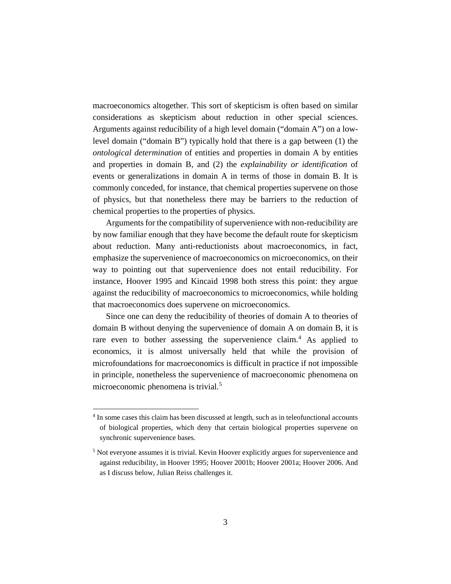macroeconomics altogether. This sort of skepticism is often based on similar considerations as skepticism about reduction in other special sciences. Arguments against reducibility of a high level domain ("domain A") on a lowlevel domain ("domain B") typically hold that there is a gap between (1) the *ontological determination* of entities and properties in domain A by entities and properties in domain B, and (2) the *explainability or identification* of events or generalizations in domain A in terms of those in domain B. It is commonly conceded, for instance, that chemical properties supervene on those of physics, but that nonetheless there may be barriers to the reduction of chemical properties to the properties of physics.

Arguments for the compatibility of supervenience with non-reducibility are by now familiar enough that they have become the default route for skepticism about reduction. Many anti-reductionists about macroeconomics, in fact, emphasize the supervenience of macroeconomics on microeconomics, on their way to pointing out that supervenience does not entail reducibility. For instance, Hoover 1995 and Kincaid 1998 both stress this point: they argue against the reducibility of macroeconomics to microeconomics, while holding that macroeconomics does supervene on microeconomics.

Since one can deny the reducibility of theories of domain A to theories of domain B without denying the supervenience of domain A on domain B, it is rare even to bother assessing the supervenience claim.<sup>[4](#page-2-0)</sup> As applied to economics, it is almost universally held that while the provision of microfoundations for macroeconomics is difficult in practice if not impossible in principle, nonetheless the supervenience of macroeconomic phenomena on microeconomic phenomena is trivial.<sup>[5](#page-2-1)</sup>

<span id="page-2-0"></span><sup>&</sup>lt;sup>4</sup> In some cases this claim has been discussed at length, such as in teleofunctional accounts of biological properties, which deny that certain biological properties supervene on synchronic supervenience bases.

<span id="page-2-1"></span><sup>5</sup> Not everyone assumes it is trivial. Kevin Hoover explicitly argues for supervenience and against reducibility, in Hoover 1995; Hoover 2001b; Hoover 2001a; Hoover 2006. And as I discuss below, Julian Reiss challenges it.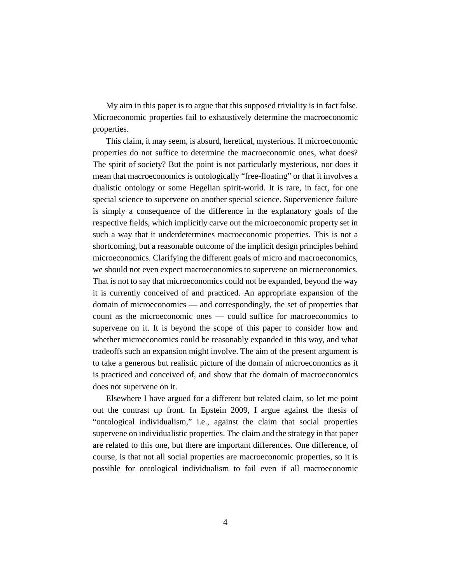My aim in this paper is to argue that this supposed triviality is in fact false. Microeconomic properties fail to exhaustively determine the macroeconomic properties.

This claim, it may seem, is absurd, heretical, mysterious. If microeconomic properties do not suffice to determine the macroeconomic ones, what does? The spirit of society? But the point is not particularly mysterious, nor does it mean that macroeconomics is ontologically "free-floating" or that it involves a dualistic ontology or some Hegelian spirit-world. It is rare, in fact, for one special science to supervene on another special science. Supervenience failure is simply a consequence of the difference in the explanatory goals of the respective fields, which implicitly carve out the microeconomic property set in such a way that it underdetermines macroeconomic properties. This is not a shortcoming, but a reasonable outcome of the implicit design principles behind microeconomics. Clarifying the different goals of micro and macroeconomics, we should not even expect macroeconomics to supervene on microeconomics. That is not to say that microeconomics could not be expanded, beyond the way it is currently conceived of and practiced. An appropriate expansion of the domain of microeconomics — and correspondingly, the set of properties that count as the microeconomic ones — could suffice for macroeconomics to supervene on it. It is beyond the scope of this paper to consider how and whether microeconomics could be reasonably expanded in this way, and what tradeoffs such an expansion might involve. The aim of the present argument is to take a generous but realistic picture of the domain of microeconomics as it is practiced and conceived of, and show that the domain of macroeconomics does not supervene on it.

Elsewhere I have argued for a different but related claim, so let me point out the contrast up front. In Epstein 2009, I argue against the thesis of "ontological individualism," i.e., against the claim that social properties supervene on individualistic properties. The claim and the strategy in that paper are related to this one, but there are important differences. One difference, of course, is that not all social properties are macroeconomic properties, so it is possible for ontological individualism to fail even if all macroeconomic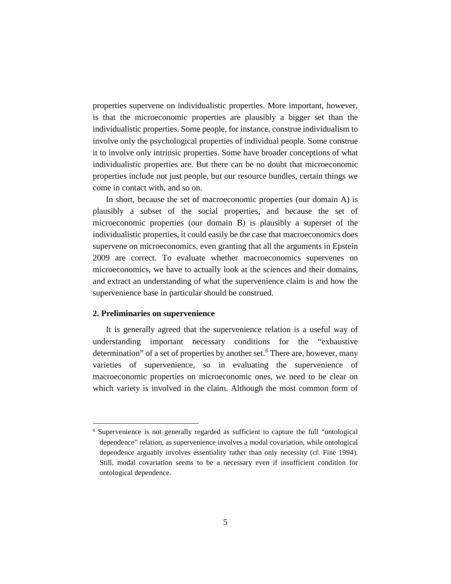properties supervene on individualistic properties. More important, however, is that the microeconomic properties are plausibly a bigger set than the individualistic properties. Some people, for instance, construe individualism to involve only the psychological properties of individual people. Some construe it to involve only intrinsic properties. Some have broader conceptions of what individualistic properties are. But there can be no doubt that microeconomic properties include not just people, but our resource bundles, certain things we come in contact with, and so on.

In short, because the set of macroeconomic properties (our domain A) is plausibly a subset of the social properties, and because the set of microeconomic properties (our domain B) is plausibly a superset of the individualistic properties, it could easily be the case that macroeconomics does supervene on microeconomics, even granting that all the arguments in Epstein 2009 are correct. To evaluate whether macroeconomics supervenes on microeconomics, we have to actually look at the sciences and their domains, and extract an understanding of what the supervenience claim is and how the supervenience base in particular should be construed.

#### **2. Preliminaries on supervenience**

 $\overline{a}$ 

It is generally agreed that the supervenience relation is a useful way of understanding important necessary conditions for the "exhaustive determination" of a set of properties by another set.<sup>[6](#page-4-0)</sup> There are, however, many varieties of supervenience, so in evaluating the supervenience of macroeconomic properties on microeconomic ones, we need to be clear on which variety is involved in the claim. Although the most common form of

<span id="page-4-0"></span><sup>6</sup> Supervenience is not generally regarded as sufficient to capture the full "ontological dependence" relation, as supervenience involves a modal covariation, while ontological dependence arguably involves essentiality rather than only necessity (cf. Fine 1994). Still, modal covariation seems to be a necessary even if insufficient condition for ontological dependence.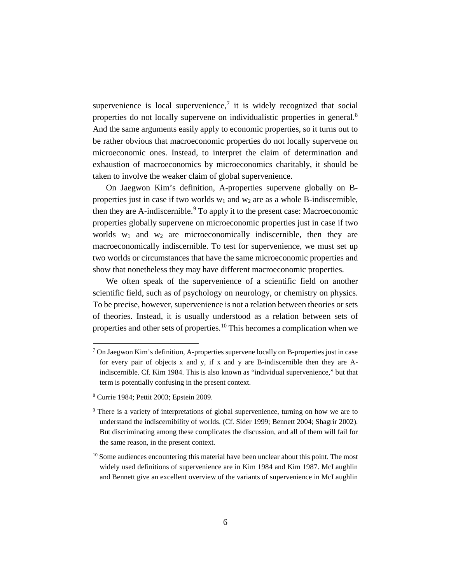supervenience is local supervenience,<sup>[7](#page-5-0)</sup> it is widely recognized that social properties do not locally supervene on individualistic properties in general.<sup>[8](#page-5-1)</sup> And the same arguments easily apply to economic properties, so it turns out to be rather obvious that macroeconomic properties do not locally supervene on microeconomic ones. Instead, to interpret the claim of determination and exhaustion of macroeconomics by microeconomics charitably, it should be taken to involve the weaker claim of global supervenience.

On Jaegwon Kim's definition, A-properties supervene globally on Bproperties just in case if two worlds  $w_1$  and  $w_2$  are as a whole B-indiscernible, then they are A-indiscernible.<sup>[9](#page-5-2)</sup> To apply it to the present case: Macroeconomic properties globally supervene on microeconomic properties just in case if two worlds  $w_1$  and  $w_2$  are microeconomically indiscernible, then they are macroeconomically indiscernible. To test for supervenience, we must set up two worlds or circumstances that have the same microeconomic properties and show that nonetheless they may have different macroeconomic properties.

We often speak of the supervenience of a scientific field on another scientific field, such as of psychology on neurology, or chemistry on physics. To be precise, however, supervenience is not a relation between theories or sets of theories. Instead, it is usually understood as a relation between sets of properties and other sets of properties.[10](#page-5-3) This becomes a complication when we

<span id="page-5-0"></span> $7$  On Jaegwon Kim's definition, A-properties supervene locally on B-properties just in case for every pair of objects x and y, if x and y are B-indiscernible then they are Aindiscernible. Cf. Kim 1984. This is also known as "individual supervenience," but that term is potentially confusing in the present context.

<span id="page-5-1"></span><sup>8</sup> Currie 1984; [Pettit 2003;](#page-28-1) Epstein 2009.

<span id="page-5-2"></span><sup>&</sup>lt;sup>9</sup> There is a variety of interpretations of global supervenience, turning on how we are to understand the indiscernibility of worlds. (Cf[. Sider 1999;](#page-28-2) Bennett 2004[; Shagrir 2002\)](#page-28-3). But discriminating among these complicates the discussion, and all of them will fail for the same reason, in the present context.

<span id="page-5-3"></span><sup>&</sup>lt;sup>10</sup> Some audiences encountering this material have been unclear about this point. The most widely used definitions of supervenience are in Kim 1984 and Kim 1987. McLaughlin and Bennett give an excellent overview of the variants of supervenience in [McLaughlin](#page-28-4)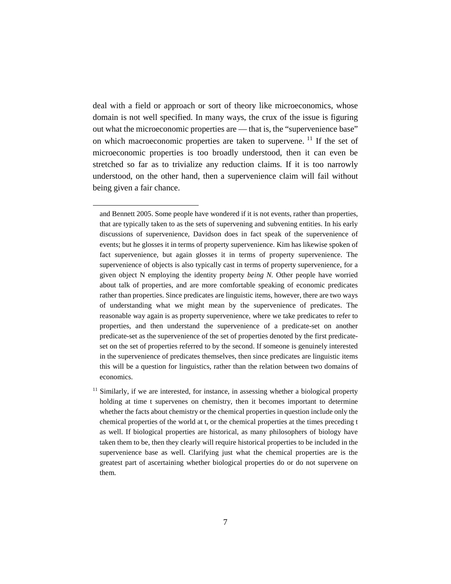deal with a field or approach or sort of theory like microeconomics, whose domain is not well specified. In many ways, the crux of the issue is figuring out what the microeconomic properties are — that is, the "supervenience base" on which macroeconomic properties are taken to supervene.<sup>[11](#page-6-0)</sup> If the set of microeconomic properties is too broadly understood, then it can even be stretched so far as to trivialize any reduction claims. If it is too narrowly understood, on the other hand, then a supervenience claim will fail without being given a fair chance.

 $\overline{a}$ 

<span id="page-6-0"></span><sup>11</sup> Similarly, if we are interested, for instance, in assessing whether a biological property holding at time t supervenes on chemistry, then it becomes important to determine whether the facts about chemistry or the chemical properties in question include only the chemical properties of the world at t, or the chemical properties at the times preceding t as well. If biological properties are historical, as many philosophers of biology have taken them to be, then they clearly will require historical properties to be included in the supervenience base as well. Clarifying just what the chemical properties are is the greatest part of ascertaining whether biological properties do or do not supervene on them.

and Bennett 2005. Some people have wondered if it is not events, rather than properties, that are typically taken to as the sets of supervening and subvening entities. In his early discussions of supervenience, Davidson does in fact speak of the supervenience of events; but he glosses it in terms of property supervenience. Kim has likewise spoken of fact supervenience, but again glosses it in terms of property supervenience. The supervenience of objects is also typically cast in terms of property supervenience, for a given object N employing the identity property *being N.* Other people have worried about talk of properties, and are more comfortable speaking of economic predicates rather than properties. Since predicates are linguistic items, however, there are two ways of understanding what we might mean by the supervenience of predicates. The reasonable way again is as property supervenience, where we take predicates to refer to properties, and then understand the supervenience of a predicate-set on another predicate-set as the supervenience of the set of properties denoted by the first predicateset on the set of properties referred to by the second. If someone is genuinely interested in the supervenience of predicates themselves, then since predicates are linguistic items this will be a question for linguistics, rather than the relation between two domains of economics.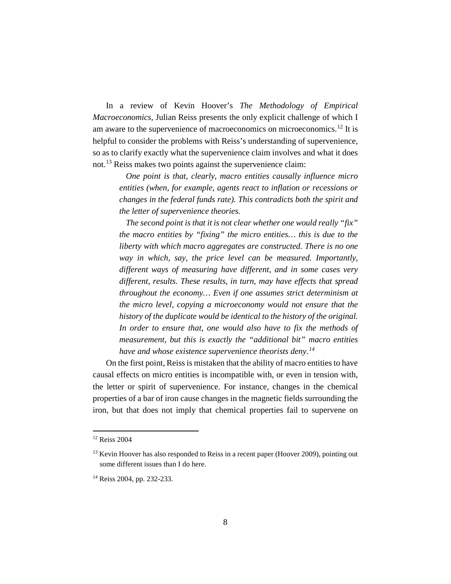In a review of Kevin Hoover's *The Methodology of Empirical Macroeconomics,* Julian Reiss presents the only explicit challenge of which I am aware to the supervenience of macroeconomics on microeconomics.<sup>[12](#page-7-0)</sup> It is helpful to consider the problems with Reiss's understanding of supervenience, so as to clarify exactly what the supervenience claim involves and what it does not.[13](#page-7-1) Reiss makes two points against the supervenience claim:

> *One point is that, clearly, macro entities causally influence micro entities (when, for example, agents react to inflation or recessions or changes in the federal funds rate). This contradicts both the spirit and the letter of supervenience theories.*

> *The second point is that it is not clear whether one would really "fix" the macro entities by "fixing" the micro entities… this is due to the liberty with which macro aggregates are constructed. There is no one way in which, say, the price level can be measured. Importantly, different ways of measuring have different, and in some cases very different, results. These results, in turn, may have effects that spread throughout the economy… Even if one assumes strict determinism at the micro level, copying a microeconomy would not ensure that the history of the duplicate would be identical to the history of the original. In order to ensure that, one would also have to fix the methods of measurement, but this is exactly the "additional bit" macro entities have and whose existence supervenience theorists deny.[14](#page-7-2)*

On the first point, Reiss is mistaken that the ability of macro entities to have causal effects on micro entities is incompatible with, or even in tension with, the letter or spirit of supervenience. For instance, changes in the chemical properties of a bar of iron cause changes in the magnetic fields surrounding the iron, but that does not imply that chemical properties fail to supervene on

<span id="page-7-0"></span><sup>12</sup> [Reiss 2004](#page-28-5)

<span id="page-7-1"></span><sup>&</sup>lt;sup>13</sup> Kevin Hoover has also responded to Reiss in a recent paper (Hoover 2009), pointing out some different issues than I do here.

<span id="page-7-2"></span><sup>14</sup> [Reiss 2004,](#page-28-5) pp. 232-233.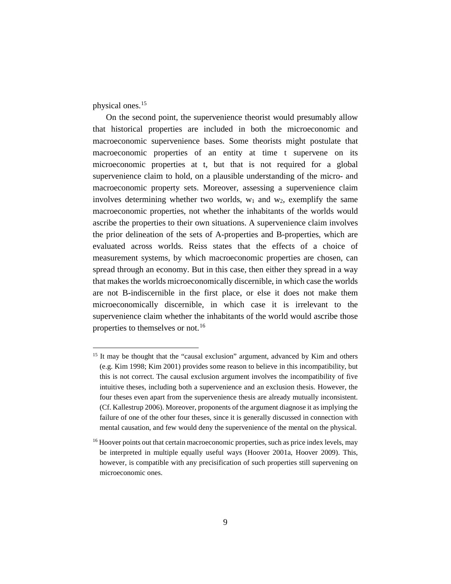physical ones.[15](#page-8-0)

 $\overline{a}$ 

On the second point, the supervenience theorist would presumably allow that historical properties are included in both the microeconomic and macroeconomic supervenience bases. Some theorists might postulate that macroeconomic properties of an entity at time t supervene on its microeconomic properties at t, but that is not required for a global supervenience claim to hold, on a plausible understanding of the micro- and macroeconomic property sets. Moreover, assessing a supervenience claim involves determining whether two worlds,  $w_1$  and  $w_2$ , exemplify the same macroeconomic properties, not whether the inhabitants of the worlds would ascribe the properties to their own situations. A supervenience claim involves the prior delineation of the sets of A-properties and B-properties, which are evaluated across worlds. Reiss states that the effects of a choice of measurement systems, by which macroeconomic properties are chosen, can spread through an economy. But in this case, then either they spread in a way that makes the worlds microeconomically discernible, in which case the worlds are not B-indiscernible in the first place, or else it does not make them microeconomically discernible, in which case it is irrelevant to the supervenience claim whether the inhabitants of the world would ascribe those properties to themselves or not.<sup>[16](#page-8-1)</sup>

<span id="page-8-0"></span><sup>&</sup>lt;sup>15</sup> It may be thought that the "causal exclusion" argument, advanced by Kim and others (e.g. Kim 1998; [Kim 2001\)](#page-27-2) provides some reason to believe in this incompatibility, but this is not correct. The causal exclusion argument involves the incompatibility of five intuitive theses, including both a supervenience and an exclusion thesis. However, the four theses even apart from the supervenience thesis are already mutually inconsistent. (Cf. Kallestrup 2006). Moreover, proponents of the argument diagnose it as implying the failure of one of the other four theses, since it is generally discussed in connection with mental causation, and few would deny the supervenience of the mental on the physical.

<span id="page-8-1"></span><sup>&</sup>lt;sup>16</sup> Hoover points out that certain macroeconomic properties, such as price index levels, may be interpreted in multiple equally useful ways (Hoover 2001a, Hoover 2009). This, however, is compatible with any precisification of such properties still supervening on microeconomic ones.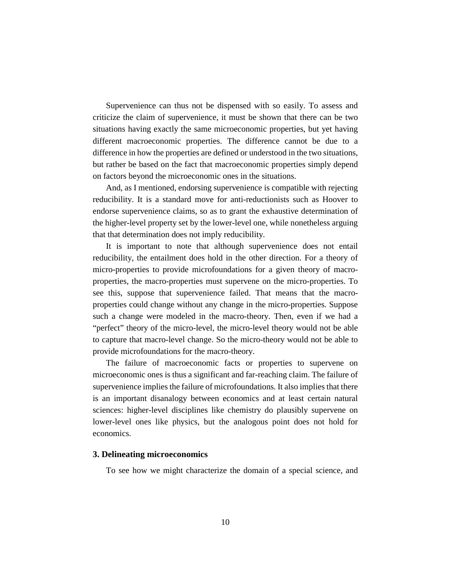Supervenience can thus not be dispensed with so easily. To assess and criticize the claim of supervenience, it must be shown that there can be two situations having exactly the same microeconomic properties, but yet having different macroeconomic properties. The difference cannot be due to a difference in how the properties are defined or understood in the two situations, but rather be based on the fact that macroeconomic properties simply depend on factors beyond the microeconomic ones in the situations.

And, as I mentioned, endorsing supervenience is compatible with rejecting reducibility. It is a standard move for anti-reductionists such as Hoover to endorse supervenience claims, so as to grant the exhaustive determination of the higher-level property set by the lower-level one, while nonetheless arguing that that determination does not imply reducibility.

It is important to note that although supervenience does not entail reducibility, the entailment does hold in the other direction. For a theory of micro-properties to provide microfoundations for a given theory of macroproperties, the macro-properties must supervene on the micro-properties. To see this, suppose that supervenience failed. That means that the macroproperties could change without any change in the micro-properties. Suppose such a change were modeled in the macro-theory. Then, even if we had a "perfect" theory of the micro-level, the micro-level theory would not be able to capture that macro-level change. So the micro-theory would not be able to provide microfoundations for the macro-theory.

The failure of macroeconomic facts or properties to supervene on microeconomic ones is thus a significant and far-reaching claim. The failure of supervenience implies the failure of microfoundations. It also implies that there is an important disanalogy between economics and at least certain natural sciences: higher-level disciplines like chemistry do plausibly supervene on lower-level ones like physics, but the analogous point does not hold for economics.

## **3. Delineating microeconomics**

To see how we might characterize the domain of a special science, and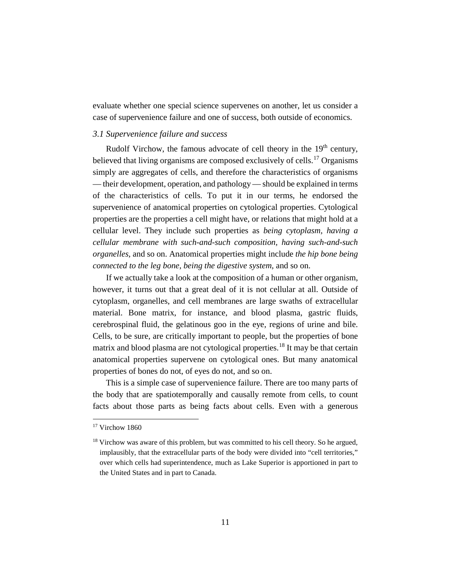evaluate whether one special science supervenes on another, let us consider a case of supervenience failure and one of success, both outside of economics.

## *3.1 Supervenience failure and success*

Rudolf Virchow, the famous advocate of cell theory in the  $19<sup>th</sup>$  century, believed that living organisms are composed exclusively of cells.[17](#page-10-0) Organisms simply are aggregates of cells, and therefore the characteristics of organisms — their development, operation, and pathology — should be explained in terms of the characteristics of cells. To put it in our terms, he endorsed the supervenience of anatomical properties on cytological properties. Cytological properties are the properties a cell might have, or relations that might hold at a cellular level. They include such properties as *being cytoplasm, having a cellular membrane with such-and-such composition, having such-and-such organelles,* and so on. Anatomical properties might include *the hip bone being connected to the leg bone, being the digestive system,* and so on.

If we actually take a look at the composition of a human or other organism, however, it turns out that a great deal of it is not cellular at all. Outside of cytoplasm, organelles, and cell membranes are large swaths of extracellular material. Bone matrix, for instance, and blood plasma, gastric fluids, cerebrospinal fluid, the gelatinous goo in the eye, regions of urine and bile. Cells, to be sure, are critically important to people, but the properties of bone matrix and blood plasma are not cytological properties.<sup>[18](#page-10-1)</sup> It may be that certain anatomical properties supervene on cytological ones. But many anatomical properties of bones do not, of eyes do not, and so on.

This is a simple case of supervenience failure. There are too many parts of the body that are spatiotemporally and causally remote from cells, to count facts about those parts as being facts about cells. Even with a generous

<span id="page-10-0"></span><sup>&</sup>lt;sup>17</sup> [Virchow](#page-28-6) 1860

<span id="page-10-1"></span><sup>&</sup>lt;sup>18</sup> Virchow was aware of this problem, but was committed to his cell theory. So he argued, implausibly, that the extracellular parts of the body were divided into "cell territories," over which cells had superintendence, much as Lake Superior is apportioned in part to the United States and in part to Canada.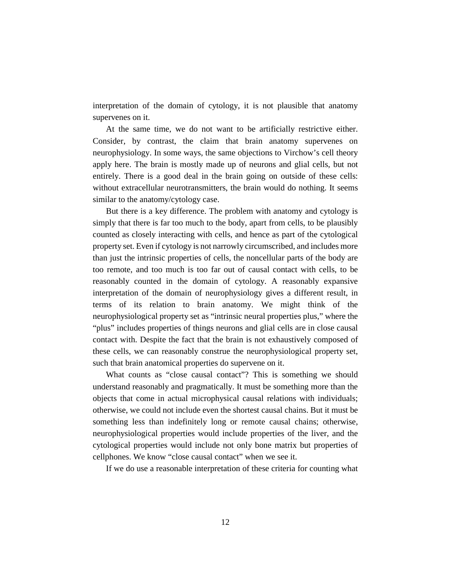interpretation of the domain of cytology, it is not plausible that anatomy supervenes on it.

At the same time, we do not want to be artificially restrictive either. Consider, by contrast, the claim that brain anatomy supervenes on neurophysiology. In some ways, the same objections to Virchow's cell theory apply here. The brain is mostly made up of neurons and glial cells, but not entirely. There is a good deal in the brain going on outside of these cells: without extracellular neurotransmitters, the brain would do nothing. It seems similar to the anatomy/cytology case.

But there is a key difference. The problem with anatomy and cytology is simply that there is far too much to the body, apart from cells, to be plausibly counted as closely interacting with cells, and hence as part of the cytological property set. Even if cytology is not narrowly circumscribed, and includes more than just the intrinsic properties of cells, the noncellular parts of the body are too remote, and too much is too far out of causal contact with cells, to be reasonably counted in the domain of cytology. A reasonably expansive interpretation of the domain of neurophysiology gives a different result, in terms of its relation to brain anatomy. We might think of the neurophysiological property set as "intrinsic neural properties plus," where the "plus" includes properties of things neurons and glial cells are in close causal contact with. Despite the fact that the brain is not exhaustively composed of these cells, we can reasonably construe the neurophysiological property set, such that brain anatomical properties do supervene on it.

What counts as "close causal contact"? This is something we should understand reasonably and pragmatically. It must be something more than the objects that come in actual microphysical causal relations with individuals; otherwise, we could not include even the shortest causal chains. But it must be something less than indefinitely long or remote causal chains; otherwise, neurophysiological properties would include properties of the liver, and the cytological properties would include not only bone matrix but properties of cellphones. We know "close causal contact" when we see it.

If we do use a reasonable interpretation of these criteria for counting what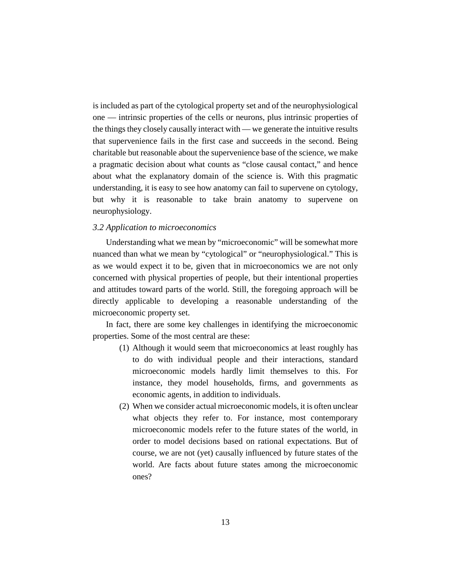is included as part of the cytological property set and of the neurophysiological one — intrinsic properties of the cells or neurons, plus intrinsic properties of the things they closely causally interact with — we generate the intuitive results that supervenience fails in the first case and succeeds in the second. Being charitable but reasonable about the supervenience base of the science, we make a pragmatic decision about what counts as "close causal contact," and hence about what the explanatory domain of the science is. With this pragmatic understanding, it is easy to see how anatomy can fail to supervene on cytology, but why it is reasonable to take brain anatomy to supervene on neurophysiology.

## *3.2 Application to microeconomics*

Understanding what we mean by "microeconomic" will be somewhat more nuanced than what we mean by "cytological" or "neurophysiological." This is as we would expect it to be, given that in microeconomics we are not only concerned with physical properties of people, but their intentional properties and attitudes toward parts of the world. Still, the foregoing approach will be directly applicable to developing a reasonable understanding of the microeconomic property set.

In fact, there are some key challenges in identifying the microeconomic properties. Some of the most central are these:

- (1) Although it would seem that microeconomics at least roughly has to do with individual people and their interactions, standard microeconomic models hardly limit themselves to this. For instance, they model households, firms, and governments as economic agents, in addition to individuals.
- (2) When we consider actual microeconomic models, it is often unclear what objects they refer to. For instance, most contemporary microeconomic models refer to the future states of the world, in order to model decisions based on rational expectations. But of course, we are not (yet) causally influenced by future states of the world. Are facts about future states among the microeconomic ones?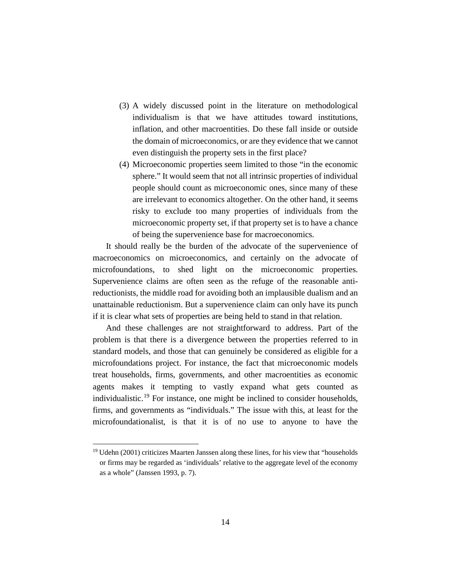- (3) A widely discussed point in the literature on methodological individualism is that we have attitudes toward institutions, inflation, and other macroentities. Do these fall inside or outside the domain of microeconomics, or are they evidence that we cannot even distinguish the property sets in the first place?
- (4) Microeconomic properties seem limited to those "in the economic sphere." It would seem that not all intrinsic properties of individual people should count as microeconomic ones, since many of these are irrelevant to economics altogether. On the other hand, it seems risky to exclude too many properties of individuals from the microeconomic property set, if that property set is to have a chance of being the supervenience base for macroeconomics.

It should really be the burden of the advocate of the supervenience of macroeconomics on microeconomics, and certainly on the advocate of microfoundations, to shed light on the microeconomic properties. Supervenience claims are often seen as the refuge of the reasonable antireductionists, the middle road for avoiding both an implausible dualism and an unattainable reductionism. But a supervenience claim can only have its punch if it is clear what sets of properties are being held to stand in that relation.

And these challenges are not straightforward to address. Part of the problem is that there is a divergence between the properties referred to in standard models, and those that can genuinely be considered as eligible for a microfoundations project. For instance, the fact that microeconomic models treat households, firms, governments, and other macroentities as economic agents makes it tempting to vastly expand what gets counted as individualistic.<sup>[19](#page-13-0)</sup> For instance, one might be inclined to consider households, firms, and governments as "individuals." The issue with this, at least for the microfoundationalist, is that it is of no use to anyone to have the

<span id="page-13-0"></span><sup>&</sup>lt;sup>19</sup> Udehn (2001) criticizes Maarten Janssen along these lines, for his view that "households" or firms may be regarded as 'individuals' relative to the aggregate level of the economy as a whole" (Janssen 1993, p. 7).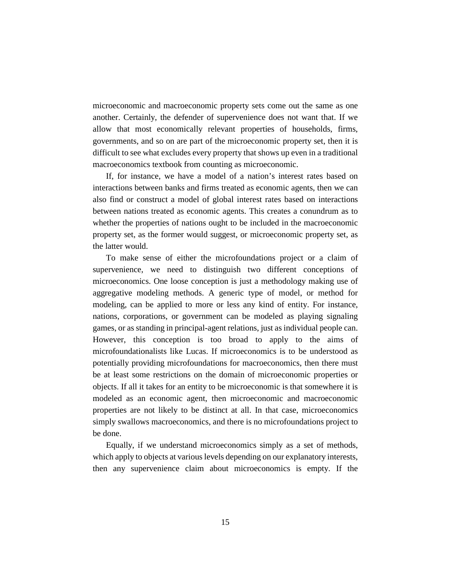microeconomic and macroeconomic property sets come out the same as one another. Certainly, the defender of supervenience does not want that. If we allow that most economically relevant properties of households, firms, governments, and so on are part of the microeconomic property set, then it is difficult to see what excludes every property that shows up even in a traditional macroeconomics textbook from counting as microeconomic.

If, for instance, we have a model of a nation's interest rates based on interactions between banks and firms treated as economic agents, then we can also find or construct a model of global interest rates based on interactions between nations treated as economic agents. This creates a conundrum as to whether the properties of nations ought to be included in the macroeconomic property set, as the former would suggest, or microeconomic property set, as the latter would.

To make sense of either the microfoundations project or a claim of supervenience, we need to distinguish two different conceptions of microeconomics. One loose conception is just a methodology making use of aggregative modeling methods. A generic type of model, or method for modeling, can be applied to more or less any kind of entity. For instance, nations, corporations, or government can be modeled as playing signaling games, or as standing in principal-agent relations, just as individual people can. However, this conception is too broad to apply to the aims of microfoundationalists like Lucas. If microeconomics is to be understood as potentially providing microfoundations for macroeconomics, then there must be at least some restrictions on the domain of microeconomic properties or objects. If all it takes for an entity to be microeconomic is that somewhere it is modeled as an economic agent, then microeconomic and macroeconomic properties are not likely to be distinct at all. In that case, microeconomics simply swallows macroeconomics, and there is no microfoundations project to be done.

Equally, if we understand microeconomics simply as a set of methods, which apply to objects at various levels depending on our explanatory interests, then any supervenience claim about microeconomics is empty. If the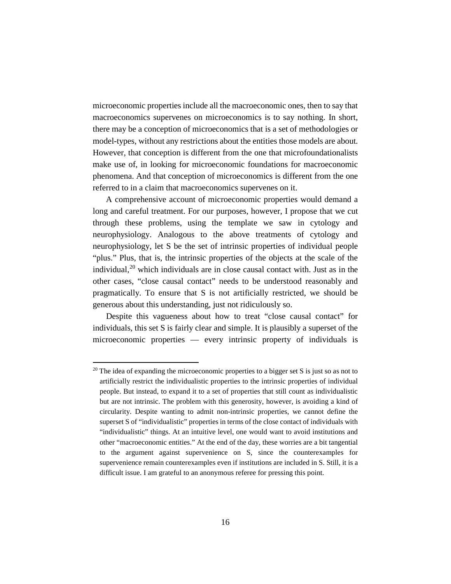microeconomic properties include all the macroeconomic ones, then to say that macroeconomics supervenes on microeconomics is to say nothing. In short, there may be a conception of microeconomics that is a set of methodologies or model-types, without any restrictions about the entities those models are about. However, that conception is different from the one that microfoundationalists make use of, in looking for microeconomic foundations for macroeconomic phenomena. And that conception of microeconomics is different from the one referred to in a claim that macroeconomics supervenes on it.

A comprehensive account of microeconomic properties would demand a long and careful treatment. For our purposes, however, I propose that we cut through these problems, using the template we saw in cytology and neurophysiology. Analogous to the above treatments of cytology and neurophysiology, let S be the set of intrinsic properties of individual people "plus." Plus, that is, the intrinsic properties of the objects at the scale of the individual, $^{20}$  $^{20}$  $^{20}$  which individuals are in close causal contact with. Just as in the other cases, "close causal contact" needs to be understood reasonably and pragmatically. To ensure that S is not artificially restricted, we should be generous about this understanding, just not ridiculously so.

Despite this vagueness about how to treat "close causal contact" for individuals, this set S is fairly clear and simple. It is plausibly a superset of the microeconomic properties — every intrinsic property of individuals is

<span id="page-15-0"></span> $20$  The idea of expanding the microeconomic properties to a bigger set S is just so as not to artificially restrict the individualistic properties to the intrinsic properties of individual people. But instead, to expand it to a set of properties that still count as individualistic but are not intrinsic. The problem with this generosity, however, is avoiding a kind of circularity. Despite wanting to admit non-intrinsic properties, we cannot define the superset S of "individualistic" properties in terms of the close contact of individuals with "individualistic" things. At an intuitive level, one would want to avoid institutions and other "macroeconomic entities." At the end of the day, these worries are a bit tangential to the argument against supervenience on S, since the counterexamples for supervenience remain counterexamples even if institutions are included in S. Still, it is a difficult issue. I am grateful to an anonymous referee for pressing this point.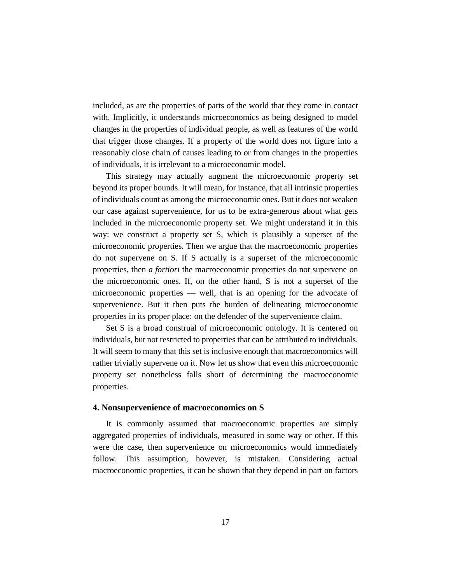included, as are the properties of parts of the world that they come in contact with. Implicitly, it understands microeconomics as being designed to model changes in the properties of individual people, as well as features of the world that trigger those changes. If a property of the world does not figure into a reasonably close chain of causes leading to or from changes in the properties of individuals, it is irrelevant to a microeconomic model.

This strategy may actually augment the microeconomic property set beyond its proper bounds. It will mean, for instance, that all intrinsic properties of individuals count as among the microeconomic ones. But it does not weaken our case against supervenience, for us to be extra-generous about what gets included in the microeconomic property set. We might understand it in this way: we construct a property set S, which is plausibly a superset of the microeconomic properties. Then we argue that the macroeconomic properties do not supervene on S. If S actually is a superset of the microeconomic properties, then *a fortiori* the macroeconomic properties do not supervene on the microeconomic ones. If, on the other hand, S is not a superset of the microeconomic properties — well, that is an opening for the advocate of supervenience. But it then puts the burden of delineating microeconomic properties in its proper place: on the defender of the supervenience claim.

Set S is a broad construal of microeconomic ontology. It is centered on individuals, but not restricted to properties that can be attributed to individuals. It will seem to many that this set is inclusive enough that macroeconomics will rather trivially supervene on it. Now let us show that even this microeconomic property set nonetheless falls short of determining the macroeconomic properties.

#### **4. Nonsupervenience of macroeconomics on S**

It is commonly assumed that macroeconomic properties are simply aggregated properties of individuals, measured in some way or other. If this were the case, then supervenience on microeconomics would immediately follow. This assumption, however, is mistaken. Considering actual macroeconomic properties, it can be shown that they depend in part on factors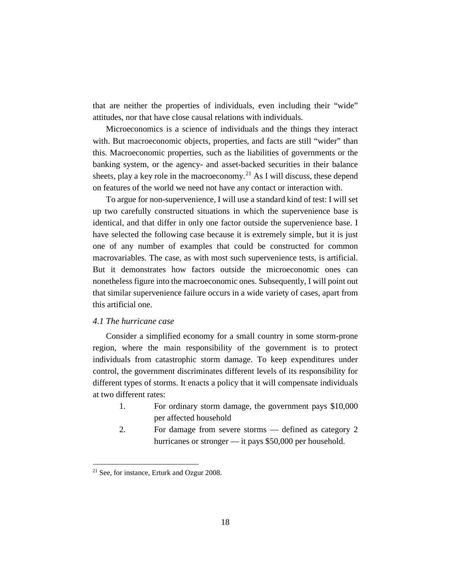that are neither the properties of individuals, even including their "wide" attitudes, nor that have close causal relations with individuals.

Microeconomics is a science of individuals and the things they interact with. But macroeconomic objects, properties, and facts are still "wider" than this. Macroeconomic properties, such as the liabilities of governments or the banking system, or the agency- and asset-backed securities in their balance sheets, play a key role in the macroeconomy.<sup>[21](#page-17-0)</sup> As I will discuss, these depend on features of the world we need not have any contact or interaction with.

To argue for non-supervenience, I will use a standard kind of test: I will set up two carefully constructed situations in which the supervenience base is identical, and that differ in only one factor outside the supervenience base. I have selected the following case because it is extremely simple, but it is just one of any number of examples that could be constructed for common macrovariables. The case, as with most such supervenience tests, is artificial. But it demonstrates how factors outside the microeconomic ones can nonetheless figure into the macroeconomic ones. Subsequently, I will point out that similar supervenience failure occurs in a wide variety of cases, apart from this artificial one.

## *4.1 The hurricane case*

Consider a simplified economy for a small country in some storm-prone region, where the main responsibility of the government is to protect individuals from catastrophic storm damage. To keep expenditures under control, the government discriminates different levels of its responsibility for different types of storms. It enacts a policy that it will compensate individuals at two different rates:

- 1. For ordinary storm damage, the government pays \$10,000 per affected household
- 2. For damage from severe storms defined as category 2 hurricanes or stronger — it pays \$50,000 per household.

<span id="page-17-0"></span><sup>21</sup> See, for instance, Erturk and Ozgur 2008.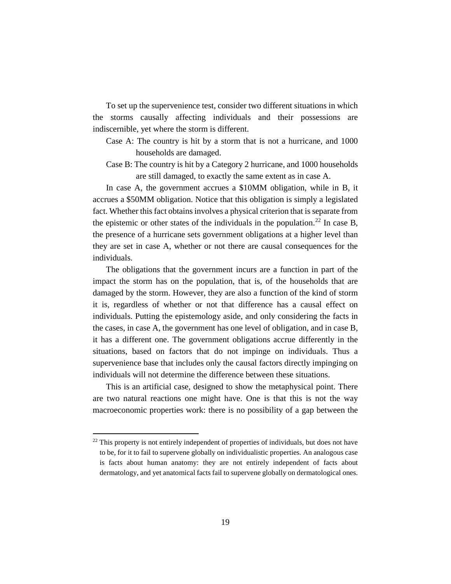To set up the supervenience test, consider two different situations in which the storms causally affecting individuals and their possessions are indiscernible, yet where the storm is different.

Case A: The country is hit by a storm that is not a hurricane, and 1000 households are damaged.

Case B: The country is hit by a Category 2 hurricane, and 1000 households are still damaged, to exactly the same extent as in case A.

In case A, the government accrues a \$10MM obligation, while in B, it accrues a \$50MM obligation. Notice that this obligation is simply a legislated fact. Whether this fact obtains involves a physical criterion that is separate from the epistemic or other states of the individuals in the population.<sup>[22](#page-18-0)</sup> In case B, the presence of a hurricane sets government obligations at a higher level than they are set in case A, whether or not there are causal consequences for the individuals.

The obligations that the government incurs are a function in part of the impact the storm has on the population, that is, of the households that are damaged by the storm. However, they are also a function of the kind of storm it is, regardless of whether or not that difference has a causal effect on individuals. Putting the epistemology aside, and only considering the facts in the cases, in case A, the government has one level of obligation, and in case B, it has a different one. The government obligations accrue differently in the situations, based on factors that do not impinge on individuals. Thus a supervenience base that includes only the causal factors directly impinging on individuals will not determine the difference between these situations.

This is an artificial case, designed to show the metaphysical point. There are two natural reactions one might have. One is that this is not the way macroeconomic properties work: there is no possibility of a gap between the

<span id="page-18-0"></span> $22$  This property is not entirely independent of properties of individuals, but does not have to be, for it to fail to supervene globally on individualistic properties. An analogous case is facts about human anatomy: they are not entirely independent of facts about dermatology, and yet anatomical facts fail to supervene globally on dermatological ones.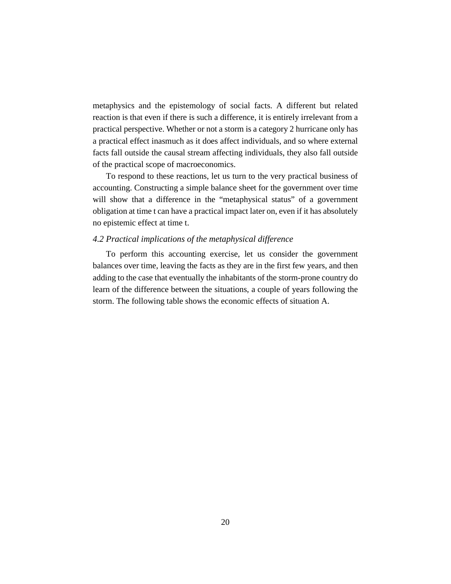metaphysics and the epistemology of social facts. A different but related reaction is that even if there is such a difference, it is entirely irrelevant from a practical perspective. Whether or not a storm is a category 2 hurricane only has a practical effect inasmuch as it does affect individuals, and so where external facts fall outside the causal stream affecting individuals, they also fall outside of the practical scope of macroeconomics.

To respond to these reactions, let us turn to the very practical business of accounting. Constructing a simple balance sheet for the government over time will show that a difference in the "metaphysical status" of a government obligation at time t can have a practical impact later on, even if it has absolutely no epistemic effect at time t.

## *4.2 Practical implications of the metaphysical difference*

To perform this accounting exercise, let us consider the government balances over time, leaving the facts as they are in the first few years, and then adding to the case that eventually the inhabitants of the storm-prone country do learn of the difference between the situations, a couple of years following the storm. The following table shows the economic effects of situation A.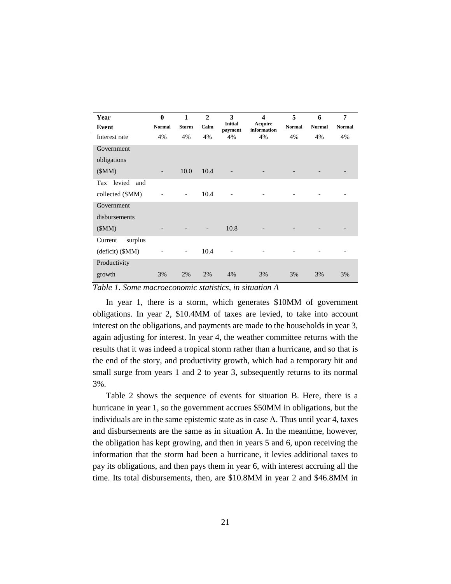| Year                 | $\mathbf{0}$             | 1                        | $\overline{2}$ | 3                         | $\overline{\mathbf{4}}$         | 5             | 6             | 7             |
|----------------------|--------------------------|--------------------------|----------------|---------------------------|---------------------------------|---------------|---------------|---------------|
| Event                | <b>Normal</b>            | <b>Storm</b>             | Calm           | <b>Initial</b><br>payment | $\bold{Acquire}$<br>information | <b>Normal</b> | <b>Normal</b> | <b>Normal</b> |
| Interest rate        | 4%                       | 4%                       | 4%             | 4%                        | 4%                              | 4%            | 4%            | 4%            |
| Government           |                          |                          |                |                           |                                 |               |               |               |
| obligations          |                          |                          |                |                           |                                 |               |               |               |
| (SMM)                | $\overline{\phantom{a}}$ | 10.0                     | 10.4           |                           |                                 |               |               |               |
| levied<br>Tax<br>and |                          |                          |                |                           |                                 |               |               |               |
| collected (\$MM)     |                          | $\overline{\phantom{0}}$ | 10.4           |                           |                                 |               |               |               |
| Government           |                          |                          |                |                           |                                 |               |               |               |
| disbursements        |                          |                          |                |                           |                                 |               |               |               |
| (SMM)                |                          |                          |                | 10.8                      |                                 |               |               |               |
| surplus<br>Current   |                          |                          |                |                           |                                 |               |               |               |
| (deficit) (\$MM)     |                          | $\overline{\phantom{a}}$ | 10.4           |                           |                                 |               |               |               |
| Productivity         |                          |                          |                |                           |                                 |               |               |               |
| growth               | 3%                       | 2%                       | 2%             | 4%                        | 3%                              | 3%            | 3%            | 3%            |

*Table 1. Some macroeconomic statistics, in situation A*

In year 1, there is a storm, which generates \$10MM of government obligations. In year 2, \$10.4MM of taxes are levied, to take into account interest on the obligations, and payments are made to the households in year 3, again adjusting for interest. In year 4, the weather committee returns with the results that it was indeed a tropical storm rather than a hurricane, and so that is the end of the story, and productivity growth, which had a temporary hit and small surge from years 1 and 2 to year 3, subsequently returns to its normal 3%.

Table 2 shows the sequence of events for situation B. Here, there is a hurricane in year 1, so the government accrues \$50MM in obligations, but the individuals are in the same epistemic state as in case A. Thus until year 4, taxes and disbursements are the same as in situation A. In the meantime, however, the obligation has kept growing, and then in years 5 and 6, upon receiving the information that the storm had been a hurricane, it levies additional taxes to pay its obligations, and then pays them in year 6, with interest accruing all the time. Its total disbursements, then, are \$10.8MM in year 2 and \$46.8MM in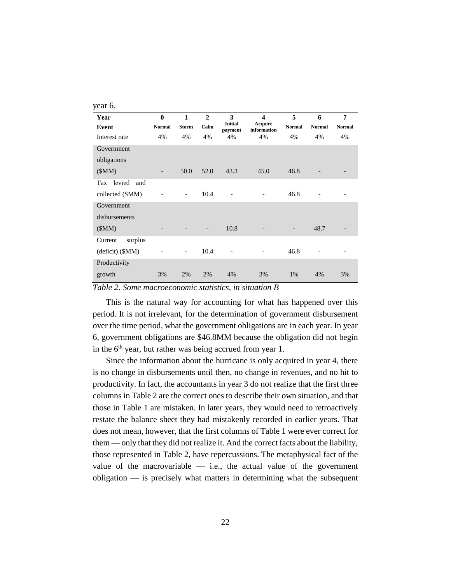| Year                 | $\mathbf{0}$             | 1                        | $\overline{2}$           | 3                         | $\overline{\mathbf{4}}$  | 5             | 6             | 7             |
|----------------------|--------------------------|--------------------------|--------------------------|---------------------------|--------------------------|---------------|---------------|---------------|
| Event                | <b>Normal</b>            | <b>Storm</b>             | Calm                     | <b>Initial</b><br>payment | Acquire<br>information   | <b>Normal</b> | <b>Normal</b> | <b>Normal</b> |
| Interest rate        | 4%                       | 4%                       | 4%                       | 4%                        | 4%                       | 4%            | 4%            | 4%            |
| Government           |                          |                          |                          |                           |                          |               |               |               |
| obligations          |                          |                          |                          |                           |                          |               |               |               |
| (SMM)                | $\overline{\phantom{a}}$ | 50.0                     | 52.0                     | 43.3                      | 45.0                     | 46.8          |               |               |
| levied<br>and<br>Tax |                          |                          |                          |                           |                          |               |               |               |
| collected (\$MM)     |                          | $\overline{\phantom{0}}$ | 10.4                     |                           |                          | 46.8          |               |               |
| Government           |                          |                          |                          |                           |                          |               |               |               |
| disbursements        |                          |                          |                          |                           |                          |               |               |               |
| (SMM)                |                          |                          | $\overline{\phantom{a}}$ | 10.8                      |                          |               | 48.7          |               |
| surplus<br>Current   |                          |                          |                          |                           |                          |               |               |               |
| (deficit) (\$MM)     | $\overline{\phantom{0}}$ | $\overline{\phantom{a}}$ | 10.4                     | $\qquad \qquad$           | $\overline{\phantom{a}}$ | 46.8          |               |               |
| Productivity         |                          |                          |                          |                           |                          |               |               |               |
| growth               | 3%                       | 2%                       | 2%                       | 4%                        | 3%                       | $1\%$         | 4%            | 3%            |

*Table 2. Some macroeconomic statistics, in situation B*

 $\sim$   $\sim$  6.

This is the natural way for accounting for what has happened over this period. It is not irrelevant, for the determination of government disbursement over the time period, what the government obligations are in each year. In year 6, government obligations are \$46.8MM because the obligation did not begin in the  $6<sup>th</sup>$  year, but rather was being accrued from year 1.

Since the information about the hurricane is only acquired in year 4, there is no change in disbursements until then, no change in revenues, and no hit to productivity. In fact, the accountants in year 3 do not realize that the first three columns in Table 2 are the correct ones to describe their own situation, and that those in Table 1 are mistaken. In later years, they would need to retroactively restate the balance sheet they had mistakenly recorded in earlier years. That does not mean, however, that the first columns of Table 1 were ever correct for them — only that they did not realize it. And the correct facts about the liability, those represented in Table 2, have repercussions. The metaphysical fact of the value of the macrovariable  $-$  i.e., the actual value of the government obligation — is precisely what matters in determining what the subsequent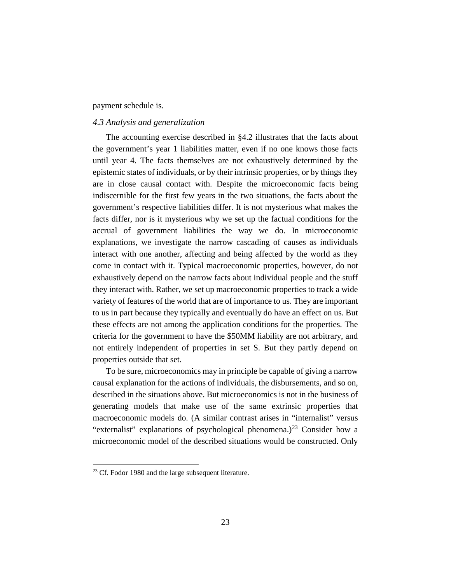payment schedule is.

## *4.3 Analysis and generalization*

The accounting exercise described in §4.2 illustrates that the facts about the government's year 1 liabilities matter, even if no one knows those facts until year 4. The facts themselves are not exhaustively determined by the epistemic states of individuals, or by their intrinsic properties, or by things they are in close causal contact with. Despite the microeconomic facts being indiscernible for the first few years in the two situations, the facts about the government's respective liabilities differ. It is not mysterious what makes the facts differ, nor is it mysterious why we set up the factual conditions for the accrual of government liabilities the way we do. In microeconomic explanations, we investigate the narrow cascading of causes as individuals interact with one another, affecting and being affected by the world as they come in contact with it. Typical macroeconomic properties, however, do not exhaustively depend on the narrow facts about individual people and the stuff they interact with. Rather, we set up macroeconomic properties to track a wide variety of features of the world that are of importance to us. They are important to us in part because they typically and eventually do have an effect on us. But these effects are not among the application conditions for the properties. The criteria for the government to have the \$50MM liability are not arbitrary, and not entirely independent of properties in set S. But they partly depend on properties outside that set.

To be sure, microeconomics may in principle be capable of giving a narrow causal explanation for the actions of individuals, the disbursements, and so on, described in the situations above. But microeconomics is not in the business of generating models that make use of the same extrinsic properties that macroeconomic models do. (A similar contrast arises in "internalist" versus "externalist" explanations of psychological phenomena.)<sup>[23](#page-22-0)</sup> Consider how a microeconomic model of the described situations would be constructed. Only

<span id="page-22-0"></span><sup>23</sup> Cf. Fodor 1980 and the large subsequent literature.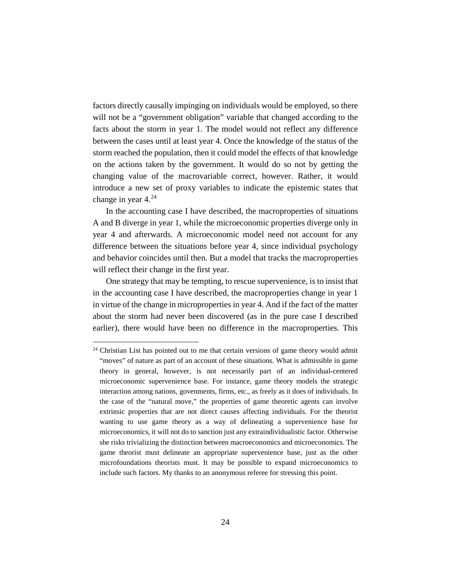factors directly causally impinging on individuals would be employed, so there will not be a "government obligation" variable that changed according to the facts about the storm in year 1. The model would not reflect any difference between the cases until at least year 4. Once the knowledge of the status of the storm reached the population, then it could model the effects of that knowledge on the actions taken by the government. It would do so not by getting the changing value of the macrovariable correct, however. Rather, it would introduce a new set of proxy variables to indicate the epistemic states that change in year  $4.^{24}$  $4.^{24}$  $4.^{24}$ 

In the accounting case I have described, the macroproperties of situations A and B diverge in year 1, while the microeconomic properties diverge only in year 4 and afterwards. A microeconomic model need not account for any difference between the situations before year 4, since individual psychology and behavior coincides until then. But a model that tracks the macroproperties will reflect their change in the first year.

One strategy that may be tempting, to rescue supervenience, is to insist that in the accounting case I have described, the macroproperties change in year 1 in virtue of the change in microproperties in year 4. And if the fact of the matter about the storm had never been discovered (as in the pure case I described earlier), there would have been no difference in the macroproperties. This

<span id="page-23-0"></span> $24$  Christian List has pointed out to me that certain versions of game theory would admit "moves" of nature as part of an account of these situations. What is admissible in game theory in general, however, is not necessarily part of an individual-centered microeconomic supervenience base. For instance, game theory models the strategic interaction among nations, govenments, firms, etc., as freely as it does of individuals. In the case of the "natural move," the properties of game theoretic agents can involve extrinsic properties that are not direct causes affecting individuals. For the theorist wanting to use game theory as a way of delineating a supervenience base for microeconomics, it will not do to sanction just any extraindividualistic factor. Otherwise she risks trivializing the distinction between macroeconomics and microeconomics. The game theorist must delineate an appropriate supervenience base, just as the other microfoundations theorists must. It may be possible to expand microeconomics to include such factors. My thanks to an anonymous referee for stressing this point.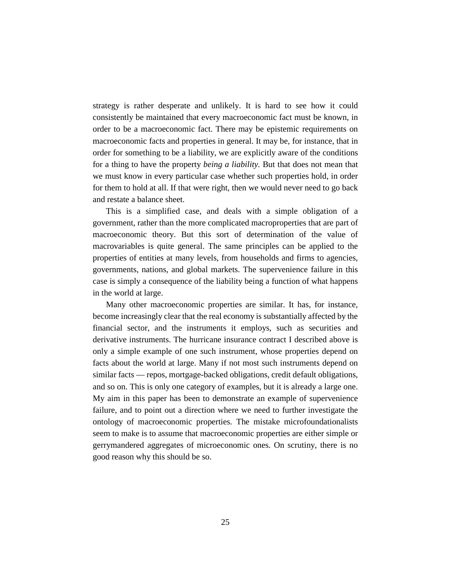strategy is rather desperate and unlikely. It is hard to see how it could consistently be maintained that every macroeconomic fact must be known, in order to be a macroeconomic fact. There may be epistemic requirements on macroeconomic facts and properties in general. It may be, for instance, that in order for something to be a liability, we are explicitly aware of the conditions for a thing to have the property *being a liability.* But that does not mean that we must know in every particular case whether such properties hold, in order for them to hold at all. If that were right, then we would never need to go back and restate a balance sheet.

This is a simplified case, and deals with a simple obligation of a government, rather than the more complicated macroproperties that are part of macroeconomic theory. But this sort of determination of the value of macrovariables is quite general. The same principles can be applied to the properties of entities at many levels, from households and firms to agencies, governments, nations, and global markets. The supervenience failure in this case is simply a consequence of the liability being a function of what happens in the world at large.

Many other macroeconomic properties are similar. It has, for instance, become increasingly clear that the real economy is substantially affected by the financial sector, and the instruments it employs, such as securities and derivative instruments. The hurricane insurance contract I described above is only a simple example of one such instrument, whose properties depend on facts about the world at large. Many if not most such instruments depend on similar facts — repos, mortgage-backed obligations, credit default obligations, and so on. This is only one category of examples, but it is already a large one. My aim in this paper has been to demonstrate an example of supervenience failure, and to point out a direction where we need to further investigate the ontology of macroeconomic properties. The mistake microfoundationalists seem to make is to assume that macroeconomic properties are either simple or gerrymandered aggregates of microeconomic ones. On scrutiny, there is no good reason why this should be so.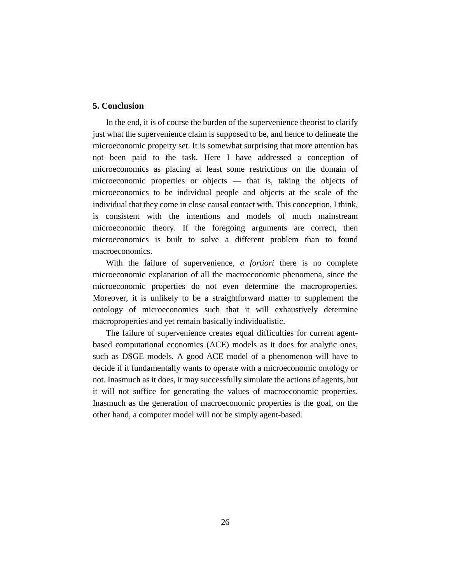## **5. Conclusion**

In the end, it is of course the burden of the supervenience theorist to clarify just what the supervenience claim is supposed to be, and hence to delineate the microeconomic property set. It is somewhat surprising that more attention has not been paid to the task. Here I have addressed a conception of microeconomics as placing at least some restrictions on the domain of microeconomic properties or objects — that is, taking the objects of microeconomics to be individual people and objects at the scale of the individual that they come in close causal contact with. This conception, I think, is consistent with the intentions and models of much mainstream microeconomic theory. If the foregoing arguments are correct, then microeconomics is built to solve a different problem than to found macroeconomics.

With the failure of supervenience, *a fortiori* there is no complete microeconomic explanation of all the macroeconomic phenomena, since the microeconomic properties do not even determine the macroproperties. Moreover, it is unlikely to be a straightforward matter to supplement the ontology of microeconomics such that it will exhaustively determine macroproperties and yet remain basically individualistic.

The failure of supervenience creates equal difficulties for current agentbased computational economics (ACE) models as it does for analytic ones, such as DSGE models. A good ACE model of a phenomenon will have to decide if it fundamentally wants to operate with a microeconomic ontology or not. Inasmuch as it does, it may successfully simulate the actions of agents, but it will not suffice for generating the values of macroeconomic properties. Inasmuch as the generation of macroeconomic properties is the goal, on the other hand, a computer model will not be simply agent-based.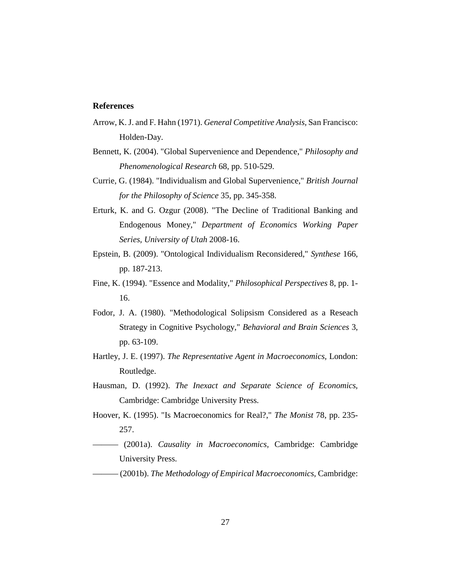## **References**

- Arrow, K. J. and F. Hahn (1971). *General Competitive Analysis,* San Francisco: Holden-Day.
- Bennett, K. (2004). "Global Supervenience and Dependence," *Philosophy and Phenomenological Research* 68, pp. 510-529.
- Currie, G. (1984). "Individualism and Global Supervenience," *British Journal for the Philosophy of Science* 35, pp. 345-358.
- Erturk, K. and G. Ozgur (2008). "The Decline of Traditional Banking and Endogenous Money," *Department of Economics Working Paper Series, University of Utah* 2008-16.
- Epstein, B. (2009). "Ontological Individualism Reconsidered," *Synthese* 166, pp. 187-213.
- Fine, K. (1994). "Essence and Modality," *Philosophical Perspectives* 8, pp. 1- 16.
- Fodor, J. A. (1980). "Methodological Solipsism Considered as a Reseach Strategy in Cognitive Psychology," *Behavioral and Brain Sciences* 3, pp. 63-109.
- Hartley, J. E. (1997). *The Representative Agent in Macroeconomics,* London: Routledge.
- Hausman, D. (1992). *The Inexact and Separate Science of Economics,* Cambridge: Cambridge University Press.
- Hoover, K. (1995). "Is Macroeconomics for Real?," *The Monist* 78, pp. 235- 257.
- ——— (2001a). *Causality in Macroeconomics,* Cambridge: Cambridge University Press.

<sup>———</sup> (2001b). *The Methodology of Empirical Macroeconomics,* Cambridge: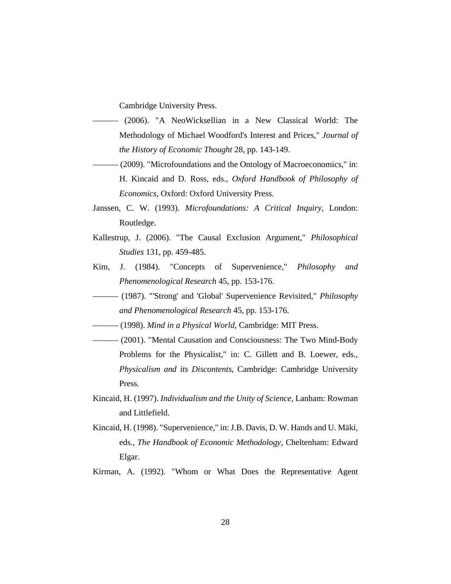Cambridge University Press.

- ——— (2006). "A NeoWicksellian in a New Classical World: The Methodology of Michael Woodford's Interest and Prices," *Journal of the History of Economic Thought* 28, pp. 143-149.
- $-$  (2009). "Microfoundations and the Ontology of Macroeconomics," in: H. Kincaid and D. Ross, eds., *Oxford Handbook of Philosophy of Economics*, Oxford: Oxford University Press.
- Janssen, C. W. (1993). *Microfoundations: A Critical Inquiry,* London: Routledge.
- Kallestrup, J. (2006). "The Causal Exclusion Argument," *Philosophical Studies* 131, pp. 459-485.
- Kim, J. (1984). "Concepts of Supervenience," *Philosophy and Phenomenological Research* 45, pp. 153-176.
- ——— (1987). "'Strong' and 'Global' Supervenience Revisited," *Philosophy and Phenomenological Research* 45, pp. 153-176.
- ——— (1998). *Mind in a Physical World,* Cambridge: MIT Press.
- <span id="page-27-2"></span> $-$  (2001). "Mental Causation and Consciousness: The Two Mind-Body Problems for the Physicalist," in: C. Gillett and B. Loewer, eds., *Physicalism and its Discontents*, Cambridge: Cambridge University Press.
- <span id="page-27-1"></span>Kincaid, H. (1997). *Individualism and the Unity of Science,* Lanham: Rowman and Littlefield.
- Kincaid, H. (1998). "Supervenience," in: J.B. Davis, D. W. Hands and U. Mäki, eds., *The Handbook of Economic Methodology*, Cheltenham: Edward Elgar.
- <span id="page-27-0"></span>Kirman, A. (1992). "Whom or What Does the Representative Agent